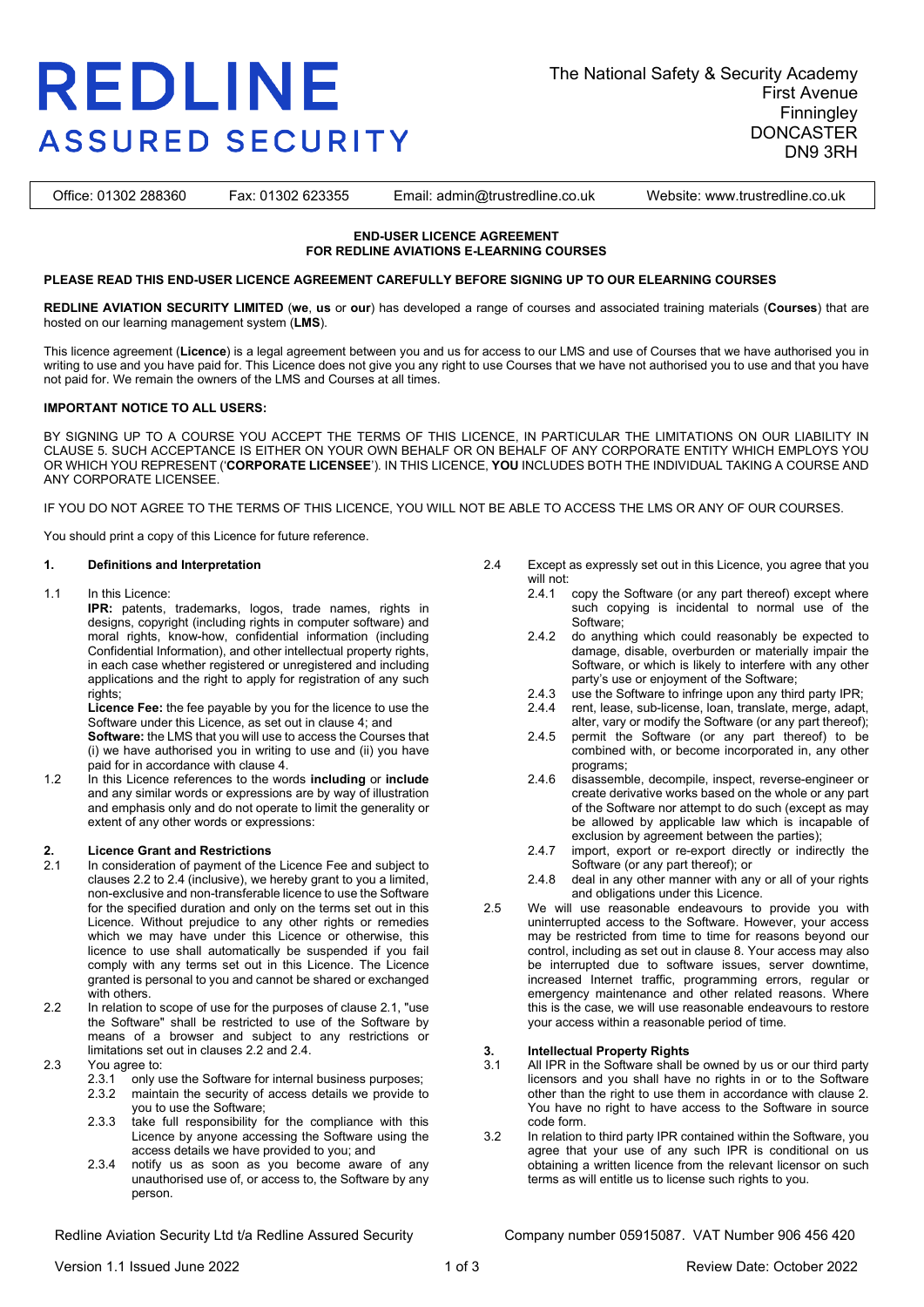# **REDLINE ASSURED SECURITY**

Office: 01302 288360 Fax: 01302 623355 Email: admin@trustredline.co.uk Website: www.trustredline.co.uk

#### **END-USER LICENCE AGREEMENT FOR REDLINE AVIATIONS E-LEARNING COURSES**

#### **PLEASE READ THIS END-USER LICENCE AGREEMENT CAREFULLY BEFORE SIGNING UP TO OUR ELEARNING COURSES**

**REDLINE AVIATION SECURITY LIMITED** (**we**, **us** or **our**) has developed a range of courses and associated training materials (**Courses**) that are hosted on our learning management system (**LMS**).

This licence agreement (**Licence**) is a legal agreement between you and us for access to our LMS and use of Courses that we have authorised you in writing to use and you have paid for. This Licence does not give you any right to use Courses that we have not authorised you to use and that you have not paid for. We remain the owners of the LMS and Courses at all times.

#### **IMPORTANT NOTICE TO ALL USERS:**

BY SIGNING UP TO A COURSE YOU ACCEPT THE TERMS OF THIS LICENCE, IN PARTICULAR THE LIMITATIONS ON OUR LIABILITY IN CLAUSE 5. SUCH ACCEPTANCE IS EITHER ON YOUR OWN BEHALF OR ON BEHALF OF ANY CORPORATE ENTITY WHICH EMPLOYS YOU OR WHICH YOU REPRESENT ('**CORPORATE LICENSEE**'). IN THIS LICENCE, **YOU** INCLUDES BOTH THE INDIVIDUAL TAKING A COURSE AND ANY CORPORATE LICENSEE.

IF YOU DO NOT AGREE TO THE TERMS OF THIS LICENCE, YOU WILL NOT BE ABLE TO ACCESS THE LMS OR ANY OF OUR COURSES.

You should print a copy of this Licence for future reference.

#### **1. Definitions and Interpretation**

1.1 In this Licence:

**IPR:** patents, trademarks, logos, trade names, rights in designs, copyright (including rights in computer software) and moral rights, know-how, confidential information (including Confidential Information), and other intellectual property rights, in each case whether registered or unregistered and including applications and the right to apply for registration of any such rights;

**Licence Fee:** the fee payable by you for the licence to use the Software under this Licence, as set out in clause 4; and

**Software:** the LMS that you will use to access the Courses that (i) we have authorised you in writing to use and (ii) you have paid for in accordance with clause 4.

1.2 In this Licence references to the words **including** or **include** and any similar words or expressions are by way of illustration and emphasis only and do not operate to limit the generality or extent of any other words or expressions:

### **2. Licence Grant and Restrictions**

- In consideration of payment of the Licence Fee and subject to clauses 2.2 to 2.4 (inclusive), we hereby grant to you a limited, non-exclusive and non-transferable licence to use the Software for the specified duration and only on the terms set out in this Licence. Without prejudice to any other rights or remedies which we may have under this Licence or otherwise, this licence to use shall automatically be suspended if you fail comply with any terms set out in this Licence. The Licence granted is personal to you and cannot be shared or exchanged with others.
- 2.2 In relation to scope of use for the purposes of clause 2.1, "use the Software" shall be restricted to use of the Software by means of a browser and subject to any restrictions or limitations set out in clauses 2.2 and 2.4.
- 2.3 You agree to:<br>2.3.1 only u
	- 2.3.1 only use the Software for internal business purposes;<br>2.3.2 maintain the security of access details we provide to
	- maintain the security of access details we provide to you to use the Software;
	- 2.3.3 take full responsibility for the compliance with this Licence by anyone accessing the Software using the access details we have provided to you; and
	- 2.3.4 notify us as soon as you become aware of any unauthorised use of, or access to, the Software by any person.
- 2.4 Except as expressly set out in this Licence, you agree that you will not:<br> $241$ 
	- copy the Software (or any part thereof) except where such copying is incidental to normal use of the Software;
	- 2.4.2 do anything which could reasonably be expected to damage, disable, overburden or materially impair the Software, or which is likely to interfere with any other party's use or enjoyment of the Software;
	- 2.4.3 use the Software to infringe upon any third party IPR;<br>2.4.4 rent. lease, sub-license, loan, translate, merge, adapt
	- rent, lease, sub-license, loan, translate, merge, adapt, alter, vary or modify the Software (or any part thereof);
	- 2.4.5 permit the Software (or any part thereof) to be combined with, or become incorporated in, any other programs;
	- 2.4.6 disassemble, decompile, inspect, reverse-engineer or create derivative works based on the whole or any part of the Software nor attempt to do such (except as may be allowed by applicable law which is incapable of exclusion by agreement between the parties);
	- 2.4.7 import, export or re-export directly or indirectly the Software (or any part thereof); or
	- 2.4.8 deal in any other manner with any or all of your rights and obligations under this Licence.
- 2.5 We will use reasonable endeavours to provide you with uninterrupted access to the Software. However, your access may be restricted from time to time for reasons beyond our control, including as set out in clause 8. Your access may also be interrupted due to software issues, server downtime, increased Internet traffic, programming errors, regular or emergency maintenance and other related reasons. Where this is the case, we will use reasonable endeavours to restore your access within a reasonable period of time.

## **3. Intellectual Property Rights**

- All IPR in the Software shall be owned by us or our third party licensors and you shall have no rights in or to the Software other than the right to use them in accordance with clause 2. You have no right to have access to the Software in source code form.
- 3.2 In relation to third party IPR contained within the Software, you agree that your use of any such IPR is conditional on us obtaining a written licence from the relevant licensor on such terms as will entitle us to license such rights to you.

Redline Aviation Security Ltd t/a Redline Assured Security Company number 05915087. VAT Number 906 456 420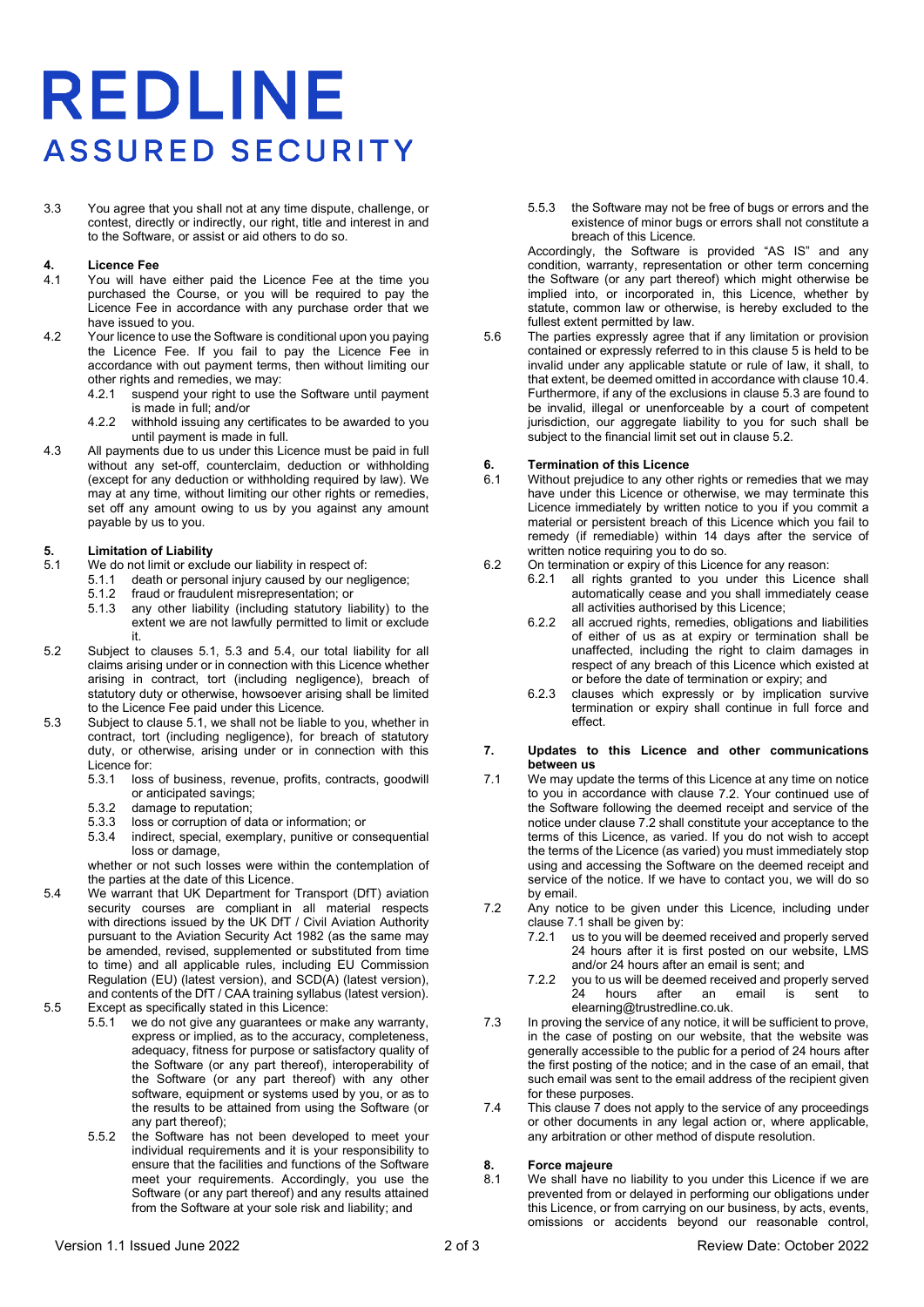# **REDLINE ASSURED SECURITY**

3.3 You agree that you shall not at any time dispute, challenge, or contest, directly or indirectly, our right, title and interest in and to the Software, or assist or aid others to do so.

## **4. Licence Fee**

- You will have either paid the Licence Fee at the time you purchased the Course, or you will be required to pay the Licence Fee in accordance with any purchase order that we have issued to you.
- 4.2 Your licence to use the Software is conditional upon you paying the Licence Fee. If you fail to pay the Licence Fee in accordance with out payment terms, then without limiting our other rights and remedies, we may:
	- 4.2.1 suspend your right to use the Software until payment is made in full; and/or
	- 4.2.2 withhold issuing any certificates to be awarded to you until payment is made in full.
- 4.3 All payments due to us under this Licence must be paid in full without any set-off, counterclaim, deduction or withholding (except for any deduction or withholding required by law). We may at any time, without limiting our other rights or remedies, set off any amount owing to us by you against any amount payable by us to you.

### <span id="page-1-3"></span><span id="page-1-0"></span>**5. Limitation of Liability**<br>**5.1** We do not limit or exclu

- We do not limit or exclude our liability in respect of:
- 5.1.1 death or personal injury caused by our negligence;
	- 5.1.2 fraud or fraudulent misrepresentation; or
	- 5.1.3 any other liability (including statutory liability) to the extent we are not lawfully permitted to limit or exclude it.
- <span id="page-1-4"></span>5.2 Subject to clauses [5.1,](#page-1-0) [5.3](#page-1-1) and [5.4,](#page-1-2) our total liability for all claims arising under or in connection with this Licence whether arising in contract, tort (including negligence), breach of statutory duty or otherwise, howsoever arising shall be limited to the Licence Fee paid under this Licence.
- <span id="page-1-1"></span>5.3 Subject to clause [5.1,](#page-1-0) we shall not be liable to you, whether in contract, tort (including negligence), for breach of statutory duty, or otherwise, arising under or in connection with this Licence for:
	- 5.3.1 loss of business, revenue, profits, contracts, goodwill or anticipated savings;
	- 5.3.2 damage to reputation;<br>5.3.3 loss or corruption of da
	- loss or corruption of data or information; or
	- 5.3.4 indirect, special, exemplary, punitive or consequential loss or damage, whether or not such losses were within the contemplation of
- the parties at the date of this Licence. 5.4 We warrant that UK Department for Transport (DfT) aviation security courses are compliant in all material respects with directions issued by the UK DfT / Civil Aviation Authority
- <span id="page-1-2"></span>pursuant to the Aviation Security Act 1982 (as the same may be amended, revised, supplemented or substituted from time to time) and all applicable rules, including EU Commission Regulation (EU) (latest version), and SCD(A) (latest version), and contents of the DfT / CAA training syllabus (latest version).
- 5.5 Except as specifically stated in this Licence:
	- 5.5.1 we do not give any guarantees or make any warranty, express or implied, as to the accuracy, completeness, adequacy, fitness for purpose or satisfactory quality of the Software (or any part thereof), interoperability of the Software (or any part thereof) with any other software, equipment or systems used by you, or as to the results to be attained from using the Software (or any part thereof);
		- 5.5.2 the Software has not been developed to meet your individual requirements and it is your responsibility to ensure that the facilities and functions of the Software meet your requirements. Accordingly, you use the Software (or any part thereof) and any results attained from the Software at your sole risk and liability; and

5.5.3 the Software may not be free of bugs or errors and the existence of minor bugs or errors shall not constitute a breach of this Licence.

Accordingly, the Software is provided "AS IS" and any condition, warranty, representation or other term concerning the Software (or any part thereof) which might otherwise be implied into, or incorporated in, this Licence, whether by statute, common law or otherwise, is hereby excluded to the fullest extent permitted by law.

5.6 The parties expressly agree that if any limitation or provision contained or expressly referred to in this clause [5](#page-1-3) is held to be invalid under any applicable statute or rule of law, it shall, to that extent, be deemed omitted in accordance with claus[e 10.4.](#page-2-0)  Furthermore, if any of the exclusions in claus[e 5.3](#page-1-1) are found to be invalid, illegal or unenforceable by a court of competent jurisdiction, our aggregate liability to you for such shall be subject to the financial limit set out in clause [5.2.](#page-1-4)

### **6. Termination of this Licence**<br>**6.1** Without prejudice to any other

- Without prejudice to any other rights or remedies that we may have under this Licence or otherwise, we may terminate this Licence immediately by written notice to you if you commit a material or persistent breach of this Licence which you fail to remedy (if remediable) within 14 days after the service of written notice requiring you to do so.
- 6.2 On termination or expiry of this Licence for any reason:
	- 6.2.1 all rights granted to you under this Licence shall automatically cease and you shall immediately cease all activities authorised by this Licence;
	- 6.2.2 all accrued rights, remedies, obligations and liabilities of either of us as at expiry or termination shall be unaffected, including the right to claim damages in respect of any breach of this Licence which existed at or before the date of termination or expiry; and
	- 6.2.3 clauses which expressly or by implication survive termination or expiry shall continue in full force and effect.

#### <span id="page-1-7"></span>**7. Updates to this Licence and other communications between us**

- <span id="page-1-6"></span>7.1 We may update the terms of this Licence at any time on notice to you in accordance with clause [7.2.](#page-1-5) Your continued use of the Software following the deemed receipt and service of the notice under claus[e 7.2](#page-1-5) shall constitute your acceptance to the terms of this Licence, as varied. If you do not wish to accept the terms of the Licence (as varied) you must immediately stop using and accessing the Software on the deemed receipt and service of the notice. If we have to contact you, we will do so by email.
- <span id="page-1-5"></span>7.2 Any notice to be given under this Licence, including under claus[e 7.1](#page-1-6) shall be given by:
	- 7.2.1 us to you will be deemed received and properly served 24 hours after it is first posted on our website, LMS and/or 24 hours after an email is sent; and
	- 7.2.2 you to us will be deemed received and properly served hours after an email is elearning@trustredline.co.uk.
- 7.3 In proving the service of any notice, it will be sufficient to prove, in the case of posting on our website, that the website was generally accessible to the public for a period of 24 hours after the first posting of the notice; and in the case of an email, that such email was sent to the email address of the recipient given for these purposes.
- 7.4 This claus[e 7](#page-1-7) does not apply to the service of any proceedings or other documents in any legal action or, where applicable, any arbitration or other method of dispute resolution.

### **8. Force majeure**

We shall have no liability to you under this Licence if we are prevented from or delayed in performing our obligations under this Licence, or from carrying on our business, by acts, events, omissions or accidents beyond our reasonable control,